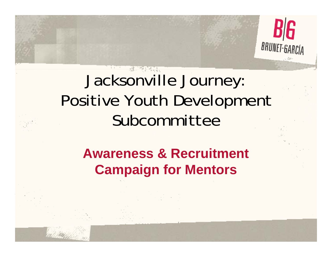

# Jacksonville Journey: Positive Youth Development Subcommittee

#### **Awareness & Recruitment Campaign for Mentors**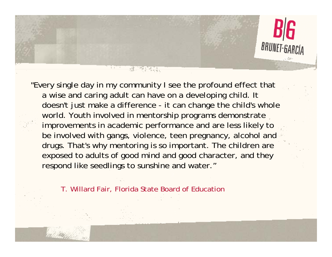

"Every single day in my community I see the profound effect that a wise and caring adult can have on a developing child. It doesn't just make a difference - it can change the child's whole world. Youth involved in mentorship programs demonstrate improvements in academic performance and are less likely to be involved with gangs, violence, teen pregnancy, alcohol and drugs. That's why mentoring is so important. The children are exposed to adults of good mind and good character, and they respond like seedlings to sunshine and water."

T. Willard Fair, Florida State Board of Education

<u>in manazara</u>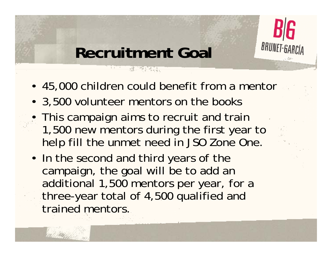

### **Recruitment Goal**

**RUMANIA** 

- 45,000 children could benefit from a mentor
- 3,500 volunteer mentors on the books
- This campaign aims to recruit and train 1,500 new mentors during the first year to help fill the unmet need in JSO Zone One.
- In the second and third years of the campaign, the goal will be to add an additional 1,500 mentors per year, for a three-year total of 4,500 qualified and trained mentors.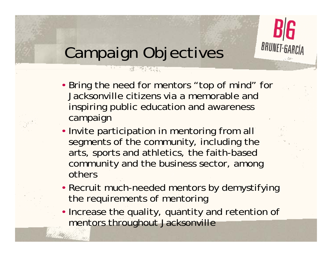

## Campaign Objectives

AN TARA

- Bring the need for mentors "top of mind" for Jacksonville citizens via a memorable and inspiring public education and awareness campaign
- Invite participation in mentoring from all segments of the community, including the arts, sports and athletics, the faith-based community and the business sector, among others
- Recruit much-needed mentors by demystifying the requirements of mentoring
- Increase the quality, quantity and retention of mentors throughout Jacksonville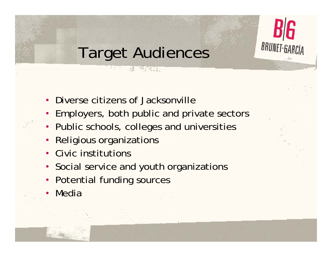

## Target Audiences

**REMARKS** 

- Diverse citizens of Jacksonville
- Employers, both public and private sectors
- Public schools, colleges and universities
- •Religious organizations
- Civic institutions
- Social service and youth organizations
- Potential funding sources
- •Media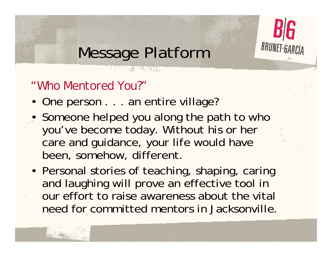

### Message Platform

AN TARA

#### *"Who Mentored You?"*

- One person . . . an entire village?
- Someone helped you along the path to who you've become today. Without his or her care and guidance, your life would have been, somehow, different.
- Personal stories of teaching, shaping, caring and laughing will prove an effective tool in our effort to raise awareness about the vital need for committed mentors in Jacksonville.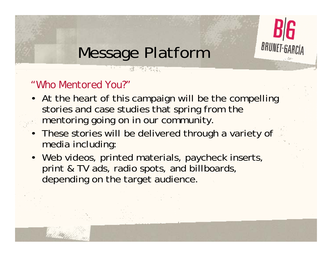

### Message Platform

AN TARA

#### *"Who Mentored You?"*

- At the heart of this campaign will be the compelling stories and case studies that spring from the mentoring going on in our community.
- These stories will be delivered through a variety of media including:
- •Web videos, printed materials, paycheck inserts, print & TV ads, radio spots, and billboards, depending on the target audience.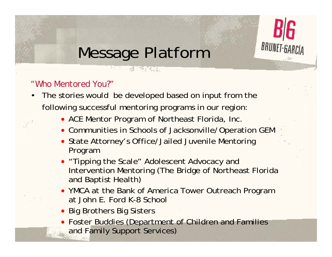

### Message Platform

REAL PROPERTY

#### *"Who Mentored You?"*

- • The stories would be developed based on input from the following successful mentoring programs in our region:
	- ACE Mentor Program of Northeast Florida, Inc.
	- Communities in Schools of Jacksonville/Operation GEM
	- State Attorney's Office/Jailed Juvenile Mentoring Program
	- "Tipping the Scale" Adolescent Advocacy and Intervention Mentoring (The Bridge of Northeast Florida and Baptist Health)
	- YMCA at the Bank of America Tower Outreach Program at John E. Ford K-8 School
	- Big Brothers Big Sisters
	- Foster Buddies (Department of Children and Families and Family Support Services)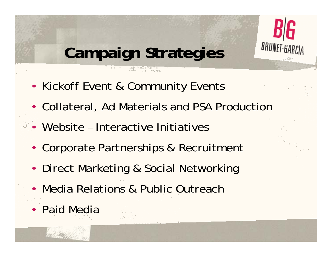

# **Campaign Strategies**

**REAL PRO** 

- Kickoff Event & Community Events
- Collateral, Ad Materials and PSA Production
- Website Interactive Initiatives
- Corporate Partnerships & Recruitment
- Direct Marketing & Social Networking
- Media Relations & Public Outreach
- Paid Media